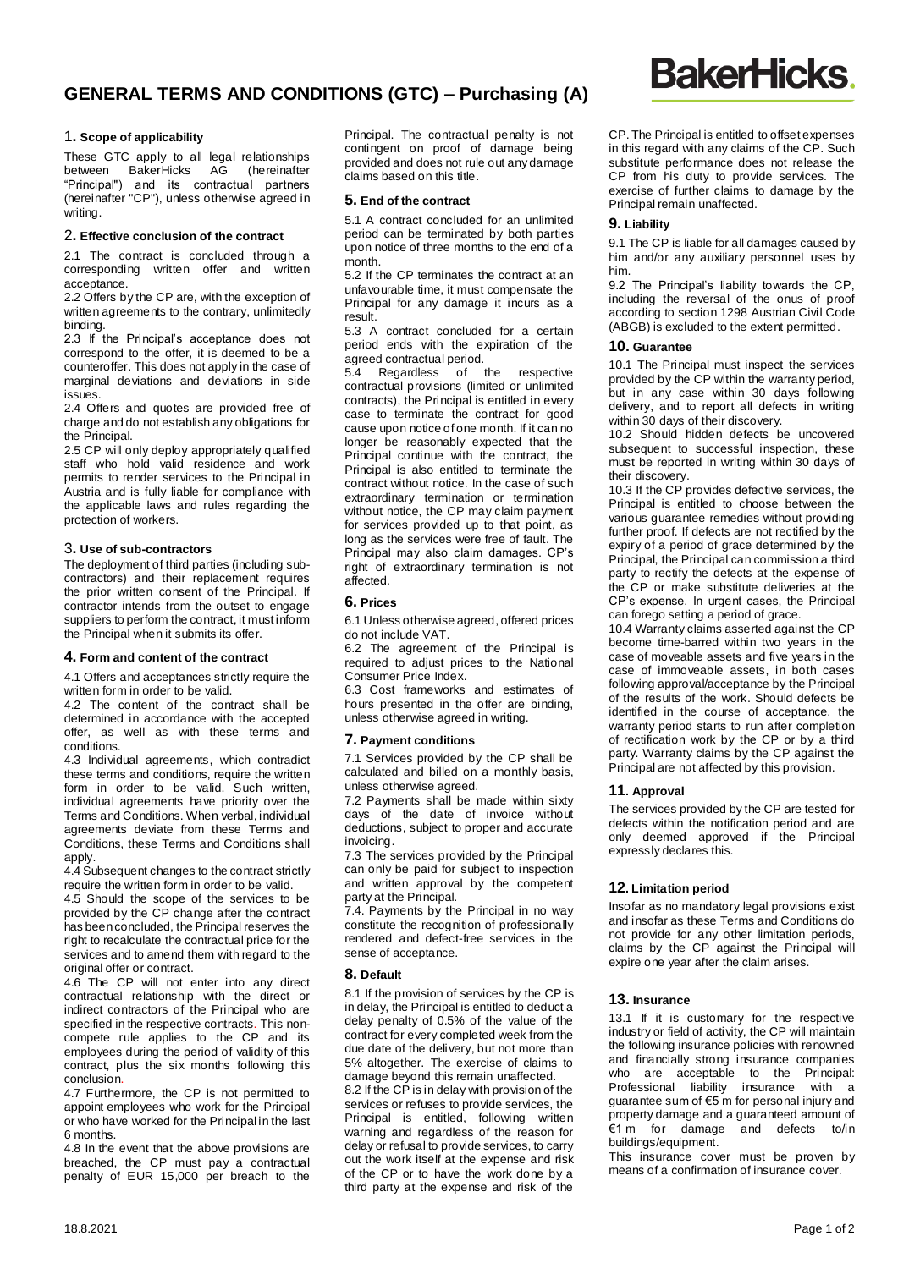# **GENERAL TERMS AND CONDITIONS (GTC) – Purchasing (A)**

#### 1**. Scope of applicability**

These GTC apply to all legal relationships<br>between BakerHicks AG (hereinafter BakerHicks AG "Principal") and its contractual partners (hereinafter "CP"), unless otherwise agreed in writing.

#### 2**. Effective conclusion of the contract**

2.1 The contract is concluded through a corresponding written offer and written acceptance.

2.2 Offers by the CP are, with the exception of written agreements to the contrary, unlimitedly binding.

2.3 If the Principal's acceptance does not correspond to the offer, it is deemed to be a counteroffer. This does not apply in the case of marginal deviations and deviations in side issues.

2.4 Offers and quotes are provided free of charge and do not establish any obligations for the Principal.

2.5 CP will only deploy appropriately qualified staff who hold valid residence and work permits to render services to the Principal in Austria and is fully liable for compliance with the applicable laws and rules regarding the protection of workers.

#### 3**. Use of sub-contractors**

The deployment of third parties (including subcontractors) and their replacement requires the prior written consent of the Principal. If contractor intends from the outset to engage suppliers to perform the contract, it must inform the Principal when it submits its offer.

#### **4. Form and content of the contract**

4.1 Offers and acceptances strictly require the written form in order to be valid.

4.2 The content of the contract shall be determined in accordance with the accepted offer, as well as with these terms and conditions.

4.3 Individual agreements, which contradict these terms and conditions, require the written form in order to be valid. Such written, individual agreements have priority over the Terms and Conditions. When verbal, individual agreements deviate from these Terms and Conditions, these Terms and Conditions shall apply.

4.4 Subsequent changes to the contract strictly require the written form in order to be valid.

4.5 Should the scope of the services to be provided by the CP change after the contract has been concluded, the Principal reserves the right to recalculate the contractual price for the services and to amend them with regard to the original offer or contract.

4.6 The CP will not enter into any direct contractual relationship with the direct or indirect contractors of the Principal who are specified in the respective contracts. This noncompete rule applies to the CP and its employees during the period of validity of this contract, plus the six months following this conclusion.

4.7 Furthermore, the CP is not permitted to appoint employees who work for the Principal or who have worked for the Principal in the last 6 months.

4.8 In the event that the above provisions are breached, the CP must pay a contractual penalty of EUR 15,000 per breach to the

Principal. The contractual penalty is not contingent on proof of damage being provided and does not rule out any damage claims based on this title.

## **5. End of the contract**

5.1 A contract concluded for an unlimited period can be terminated by both parties upon notice of three months to the end of a month.

5.2 If the CP terminates the contract at an unfavourable time, it must compensate the Principal for any damage it incurs as a result.

5.3 A contract concluded for a certain period ends with the expiration of the agreed contractual period.

5.4 Regardless of the respective contractual provisions (limited or unlimited contracts), the Principal is entitled in every case to terminate the contract for good cause upon notice of one month. If it can no longer be reasonably expected that the Principal continue with the contract, the Principal is also entitled to terminate the contract without notice. In the case of such extraordinary termination or termination without notice, the CP may claim payment for services provided up to that point, as long as the services were free of fault. The Principal may also claim damages. CP's right of extraordinary termination is not affected.

# **6. Prices**

6.1 Unless otherwise agreed, offered prices do not include VAT.

6.2 The agreement of the Principal is required to adjust prices to the National Consumer Price Index.

6.3 Cost frameworks and estimates of hours presented in the offer are binding, unless otherwise agreed in writing.

## **7. Payment conditions**

7.1 Services provided by the CP shall be calculated and billed on a monthly basis, unless otherwise agreed.

7.2 Payments shall be made within sixty days of the date of invoice without deductions, subject to proper and accurate invoicing.

7.3 The services provided by the Principal can only be paid for subject to inspection and written approval by the competent party at the Principal.

7.4. Payments by the Principal in no way constitute the recognition of professionally rendered and defect-free services in the sense of acceptance.

## **8. Default**

8.1 If the provision of services by the CP is in delay, the Principal is entitled to deduct a delay penalty of 0.5% of the value of the contract for every completed week from the due date of the delivery, but not more than 5% altogether. The exercise of claims to damage beyond this remain unaffected.

8.2 If the CP is in delay with provision of the services or refuses to provide services, the Principal is entitled, following written warning and regardless of the reason for delay or refusal to provide services, to carry out the work itself at the expense and risk of the CP or to have the work done by a third party at the expense and risk of the

CP. The Principal is entitled to offset expenses in this regard with any claims of the CP. Such substitute performance does not release the CP from his duty to provide services. The exercise of further claims to damage by the Principal remain unaffected.

## **9. Liability**

9.1 The CP is liable for all damages caused by him and/or any auxiliary personnel uses by him.

9.2 The Principal's liability towards the CP, including the reversal of the onus of proof according to section 1298 Austrian Civil Code (ABGB) is excluded to the extent permitted.

#### **10. Guarantee**

10.1 The Principal must inspect the services provided by the CP within the warranty period, but in any case within 30 days following delivery, and to report all defects in writing within 30 days of their discovery.

10.2 Should hidden defects be uncovered subsequent to successful inspection, these must be reported in writing within 30 days of their discovery.

10.3 If the CP provides defective services, the Principal is entitled to choose between the various guarantee remedies without providing further proof. If defects are not rectified by the expiry of a period of grace determined by the Principal, the Principal can commission a third party to rectify the defects at the expense of the CP or make substitute deliveries at the CP's expense. In urgent cases, the Principal can forego setting a period of grace.

10.4 Warranty claims asserted against the CP become time-barred within two years in the case of moveable assets and five years in the case of immoveable assets, in both cases following approval/acceptance by the Principal of the results of the work. Should defects be identified in the course of acceptance, the warranty period starts to run after completion of rectification work by the CP or by a third party. Warranty claims by the CP against the Principal are not affected by this provision.

## **11. Approval**

The services provided by the CP are tested for defects within the notification period and are only deemed approved if the Principal expressly declares this.

## **12. Limitation period**

Insofar as no mandatory legal provisions exist and insofar as these Terms and Conditions do not provide for any other limitation periods, claims by the CP against the Principal will expire one year after the claim arises.

## **13. Insurance**

13.1 If it is customary for the respective industry or field of activity, the CP will maintain the following insurance policies with renowned and financially strong insurance companies who are acceptable to the Principal:<br>Professional liability insurance with a Professional liability insurance quarantee sum of  $\epsilon$ 5 m for personal injury and property damage and a guaranteed amount of €1 m for damage and defects to/in buildings/equipment.

This insurance cover must be proven by means of a confirmation of insurance cover.